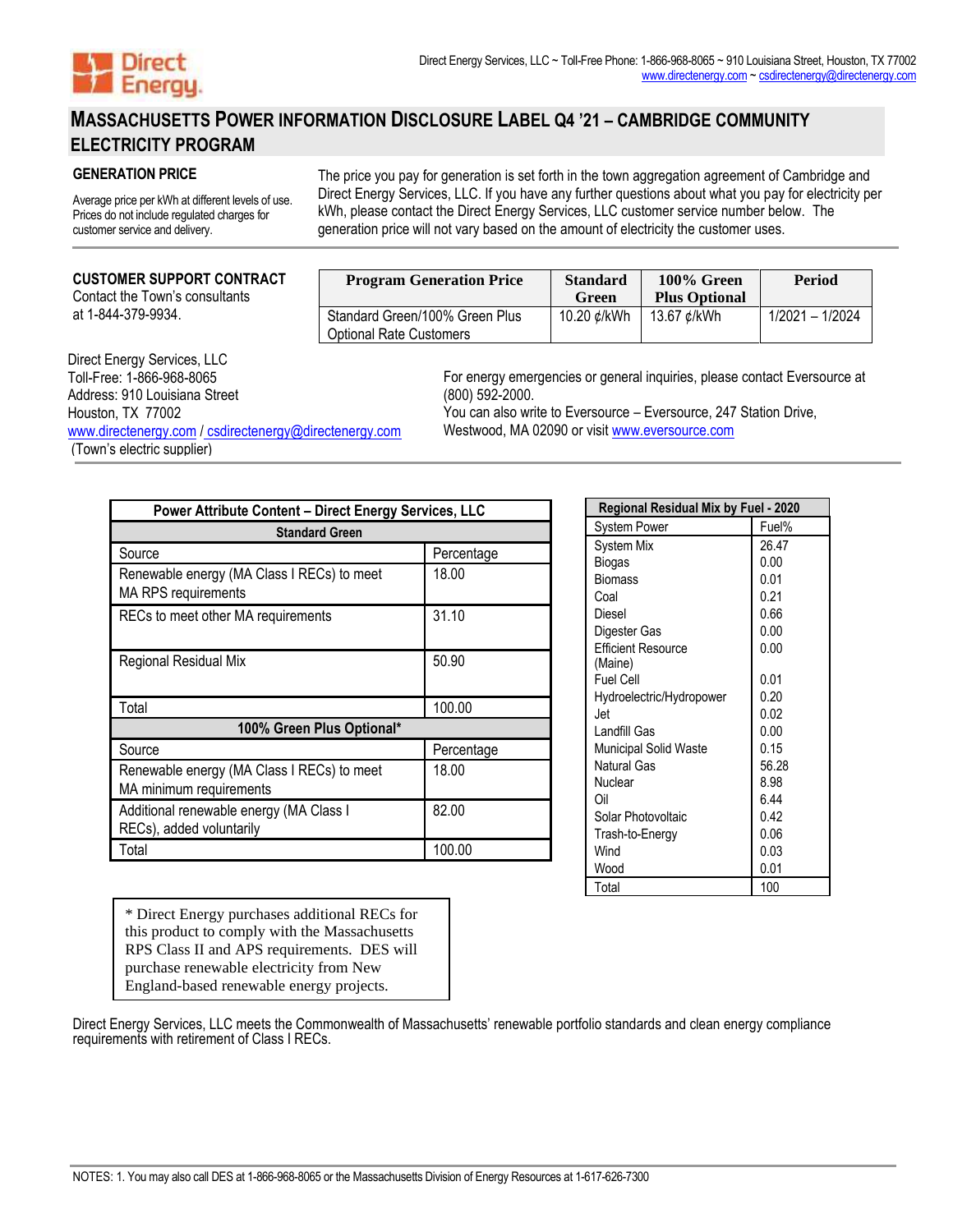

# **MASSACHUSETTS POWER INFORMATION DISCLOSURE LABEL Q4 '21 – CAMBRIDGE COMMUNITY ELECTRICITY PROGRAM**

### **GENERATION PRICE**

Average price per kWh at different levels of use. Prices do not include regulated charges for customer service and delivery.

The price you pay for generation is set forth in the town aggregation agreement of Cambridge and Direct Energy Services, LLC. If you have any further questions about what you pay for electricity per kWh, please contact the Direct Energy Services, LLC customer service number below. The generation price will not vary based on the amount of electricity the customer uses.

#### **CUSTOMER SUPPORT CONTRACT**

Contact the Town's consultants at 1-844-379-9934.

| <b>Program Generation Price</b>                           | <b>Standard</b><br>Green | 100% Green<br><b>Plus Optional</b> | <b>Period</b>   |
|-----------------------------------------------------------|--------------------------|------------------------------------|-----------------|
| Standard Green/100% Green Plus<br>Optional Rate Customers | 10.20 ¢/kWh              | 13.67 ¢/kWh                        | 1/2021 - 1/2024 |

# Direct Energy Services, LLC

| DIIGAL LIIGIYY OGI VILGO, LLO                          |
|--------------------------------------------------------|
| Toll-Free: 1-866-968-8065                              |
| Address: 910 Louisiana Street                          |
| Houston, TX 77002                                      |
| www.directenergy.com / csdirectenergy@directenergy.com |
| (Town's electric supplier)                             |

For energy emergencies or general inquiries, please contact Eversource at (800) 592-2000.

You can also write to Eversource – Eversource, 247 Station Drive, Westwood, MA 02090 or visi[t www.eversource.com](http://www.eversource.com/)

| Power Attribute Content - Direct Energy Services, LLC                    |            |  |  |  |
|--------------------------------------------------------------------------|------------|--|--|--|
| <b>Standard Green</b>                                                    |            |  |  |  |
| Source                                                                   | Percentage |  |  |  |
| Renewable energy (MA Class I RECs) to meet<br><b>MA RPS requirements</b> | 18.00      |  |  |  |
| RECs to meet other MA requirements                                       | 31.10      |  |  |  |
| Regional Residual Mix                                                    | 50.90      |  |  |  |
| Total                                                                    | 100.00     |  |  |  |
| 100% Green Plus Optional*                                                |            |  |  |  |
| Source                                                                   | Percentage |  |  |  |
| Renewable energy (MA Class I RECs) to meet<br>MA minimum requirements    | 18.00      |  |  |  |
| Additional renewable energy (MA Class I<br>RECs), added voluntarily      | 82.00      |  |  |  |
| Total                                                                    | 100.00     |  |  |  |

| System Power                 | Fuel% |
|------------------------------|-------|
| System Mix                   | 26.47 |
| Biogas                       | 0.00  |
| Biomass                      | 0.01  |
| Coal                         | 0.21  |
| Diesel                       | 0.66  |
| Digester Gas                 | 0.00  |
| <b>Efficient Resource</b>    | 0.00  |
| (Maine)                      |       |
| <b>Fuel Cell</b>             | 0.01  |
| Hydroelectric/Hydropower     | 0.20  |
| Jet                          | 0.02  |
| Landfill Gas                 | 0.00  |
| <b>Municipal Solid Waste</b> | 0.15  |
| <b>Natural Gas</b>           | 56.28 |
| Nuclear                      | 8.98  |
| Oil                          | 6.44  |
| Solar Photovoltaic           | 0.42  |
| Trash-to-Energy              | 0.06  |
| Wind                         | 0.03  |
| Wood                         | 0.01  |
| Total                        | 100   |

**Regional Residual Mix by Fuel - 2020**

\* Direct Energy purchases additional RECs for this product to comply with the Massachusetts RPS Class II and APS requirements. DES will purchase renewable electricity from New England-based renewable energy projects.

Direct Energy Services, LLC meets the Commonwealth of Massachusetts' renewable portfolio standards and clean energy compliance requirements with retirement of Class I RECs.